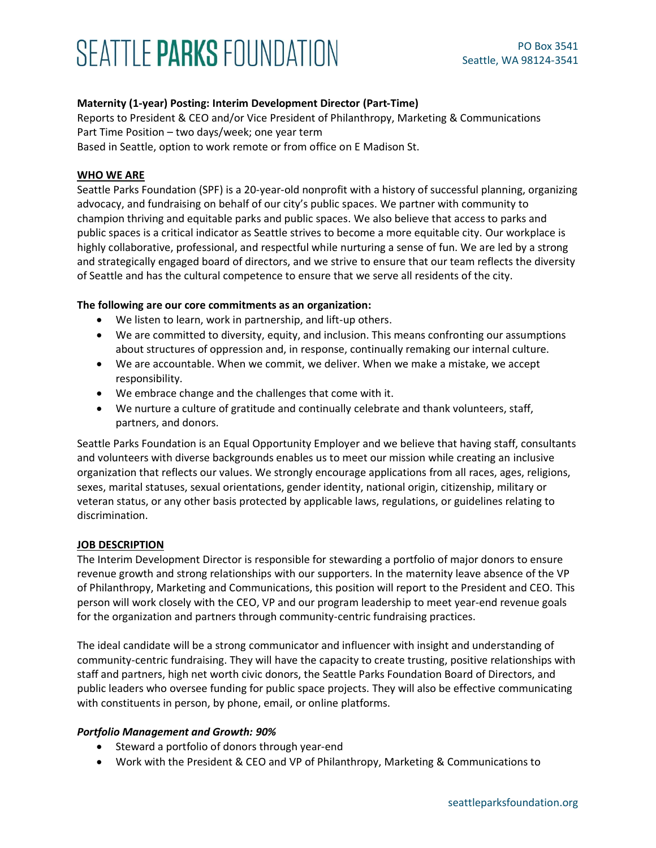# SEATTLE PARKS FOUNDATION

## **Maternity (1-year) Posting: Interim Development Director (Part-Time)**

Reports to President & CEO and/or Vice President of Philanthropy, Marketing & Communications Part Time Position – two days/week; one year term Based in Seattle, option to work remote or from office on E Madison St.

#### **WHO WE ARE**

Seattle Parks Foundation (SPF) is a 20-year-old nonprofit with a history of successful planning, organizing advocacy, and fundraising on behalf of our city's public spaces. We partner with community to champion thriving and equitable parks and public spaces. We also believe that access to parks and public spaces is a critical indicator as Seattle strives to become a more equitable city. Our workplace is highly collaborative, professional, and respectful while nurturing a sense of fun. We are led by a strong and strategically engaged board of directors, and we strive to ensure that our team reflects the diversity of Seattle and has the cultural competence to ensure that we serve all residents of the city.

#### **The following are our core commitments as an organization:**

- We listen to learn, work in partnership, and lift-up others.
- We are committed to diversity, equity, and inclusion. This means confronting our assumptions about structures of oppression and, in response, continually remaking our internal culture.
- We are accountable. When we commit, we deliver. When we make a mistake, we accept responsibility.
- We embrace change and the challenges that come with it.
- We nurture a culture of gratitude and continually celebrate and thank volunteers, staff, partners, and donors.

Seattle Parks Foundation is an Equal Opportunity Employer and we believe that having staff, consultants and volunteers with diverse backgrounds enables us to meet our mission while creating an inclusive organization that reflects our values. We strongly encourage applications from all races, ages, religions, sexes, marital statuses, sexual orientations, gender identity, national origin, citizenship, military or veteran status, or any other basis protected by applicable laws, regulations, or guidelines relating to discrimination.

#### **JOB DESCRIPTION**

The Interim Development Director is responsible for stewarding a portfolio of major donors to ensure revenue growth and strong relationships with our supporters. In the maternity leave absence of the VP of Philanthropy, Marketing and Communications, this position will report to the President and CEO. This person will work closely with the CEO, VP and our program leadership to meet year-end revenue goals for the organization and partners through community-centric fundraising practices.

The ideal candidate will be a strong communicator and influencer with insight and understanding of community-centric fundraising. They will have the capacity to create trusting, positive relationships with staff and partners, high net worth civic donors, the Seattle Parks Foundation Board of Directors, and public leaders who oversee funding for public space projects. They will also be effective communicating with constituents in person, by phone, email, or online platforms.

#### *Portfolio Management and Growth: 90%*

- Steward a portfolio of donors through year-end
- Work with the President & CEO and VP of Philanthropy, Marketing & Communications to